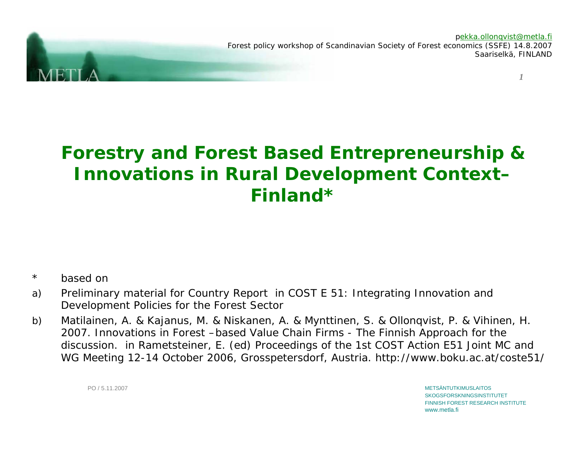*1*pekka.ollonqvist@metla.fi Forest policy workshop of Scandinavian Society of Forest economics (SSFE) 14.8.2007 Saariselkä, FINLAND

# **Forestry and Forest Based Entrepreneurship & Innovations in Rural Development Context– Finland\***

- \*based on
- a) Preliminary material for Country Report in COST E 51: Integrating Innovation and Development Policies for the Forest Sector
- b) Matilainen, A. & Kajanus, M. & Niskanen, A. & Mynttinen, S. & Ollonqvist, P. & Vihinen, H. 2007. Innovations in Forest –based Value Chain Firms - The Finnish Approach for the discussion. in Rametsteiner, E. (ed) Proceedings of the 1st COST Action E51 Joint MC and WG Meeting 12-14 October 2006, Grosspetersdorf, Austria. http://www.boku.ac.at/coste51/

METSÄNTUTKIMUSLAITOSSKOGSFORSKNINGSINSTITUTET FINNISH FOREST RESEARCH INSTITUTEwww.metla.fi

PO / 5.11.2007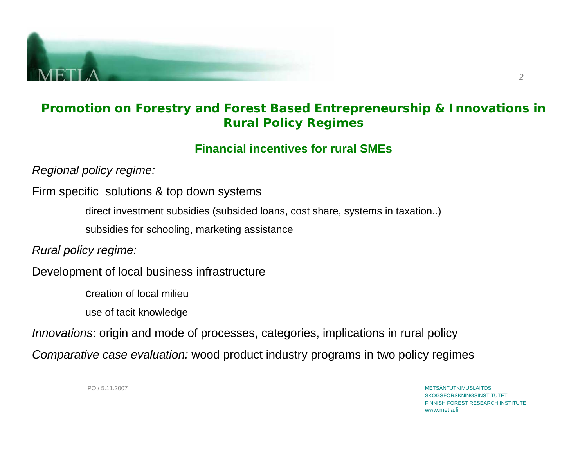

## **Promotion on Forestry and Forest Based Entrepreneurship & Innovations in Rural Policy Regimes**

## **Financial incentives for rural SMEs**

*Regional policy regime:* 

Firm specific solutions & top down systems

direct investment subsidies (subsided loans, cost share, systems in taxation..)

subsidies for schooling, marketing assistance

*Rural policy regime:*

Development of local business infrastructure

creation of local milieu

use of tacit knowledge

*Innovations*: origin and mode of processes, categories, implications in rural policy

*Comparative case evaluation:* wood product industry programs in two policy regimes

PO / 5.11.2007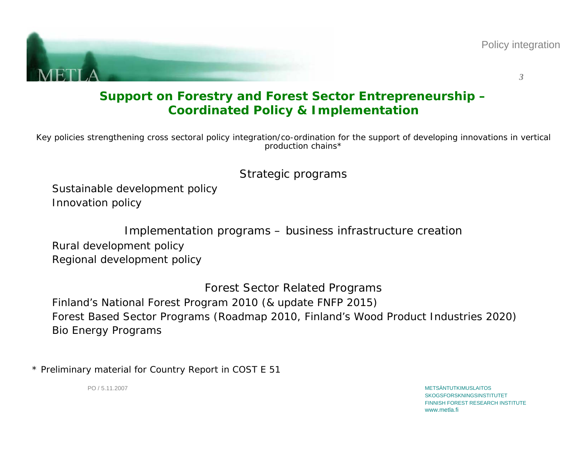



## **Support on Forestry and Forest Sector Entrepreneurship – Coordinated Policy & Implementation**

*Key policies strengthening cross sectoral policy integration/co-ordination for the support of developing innovations in vertical production chains\**

## *Strategic programs*

Sustainable development policy Innovation policy

*Implementation programs – business infrastructure creation*

Rural development policy Regional development policy

*Forest Sector Related Programs*

Finland's National Forest Program 2010 (& update FNFP 2015) Forest Based Sector Programs (Roadmap 2010, Finland's Wood Product Industries 2020) Bio Energy Programs

\* Preliminary material for Country Report in COST E 51

PO / 5.11.2007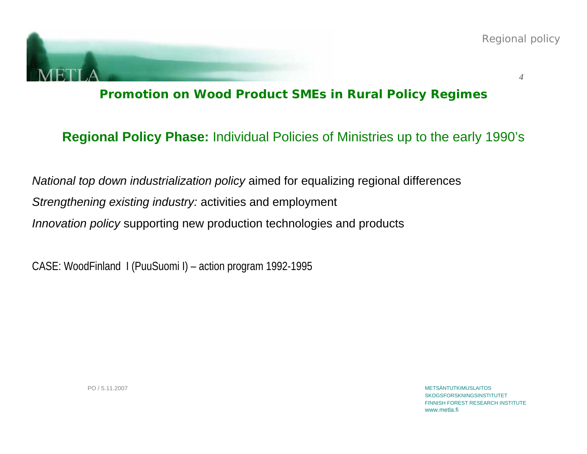

**Promotion on Wood Product SMEs in Rural Policy Regimes**

# **Regional Policy Phase:** Individual Policies of Ministries up to the early 1990's

*National top down industrialization policy* aimed for equalizing regional differences *Strengthening existing industry:* activities and employment *Innovation policy* supporting new production technologies and products

CASE: WoodFinland I (PuuSuomi I) – action program 1992-1995

PO / 5.11.2007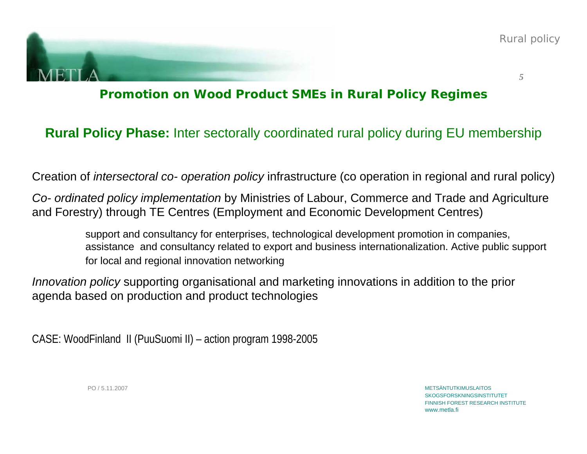

# **Promotion on Wood Product SMEs in Rural Policy Regimes**

# **Rural Policy Phase:** Inter sectorally coordinated rural policy during EU membership

Creation of *intersectoral co- operation policy* infrastructure (co operation in regional and rural policy)

*Co- ordinated policy implementation* by Ministries of Labour, Commerce and Trade and Agriculture and Forestry) through TE Centres (Employment and Economic Development Centres)

> support and consultancy for enterprises, technological development promotion in companies, assistance and consultancy related to export and business internationalization. Active public support for local and regional innovation networking

*Innovation policy* supporting organisational and marketing innovations in addition to the prior agenda based on production and product technologies

CASE: WoodFinland II (PuuSuomi II) – action program 1998-2005

PO / 5.11.2007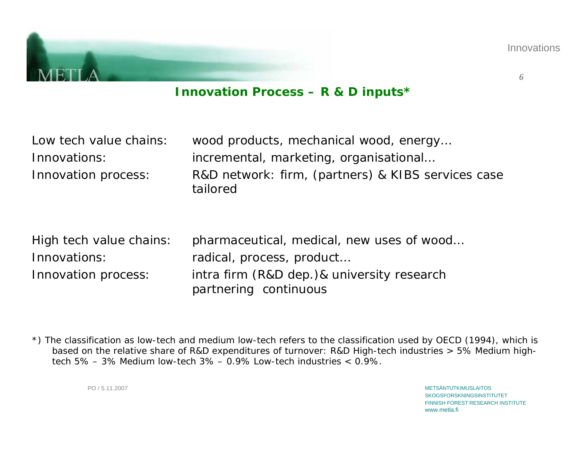

## **Innovation Process – R & D inputs\***

| Low tech value chains:                                         | wood products, mechanical wood, energy                                                                                                        |
|----------------------------------------------------------------|-----------------------------------------------------------------------------------------------------------------------------------------------|
| Innovations:                                                   | incremental, marketing, organisational                                                                                                        |
| Innovation process:                                            | R&D network: firm, (partners) & KIBS services case<br>tailored                                                                                |
| High tech value chains:<br>Innovations:<br>Innovation process: | pharmaceutical, medical, new uses of wood<br>radical, process, product<br>intra firm (R&D dep.)& university research<br>partnering continuous |

\*) The classification as low-tech and medium low-tech refers to the classification used by OECD (1994), which is based on the relative share of R&D expenditures of turnover: R&D High-tech industries > 5% Medium hightech 5% – 3% Medium low-tech  $3\%$  – 0.9% Low-tech industries  $<$  0.9%.

PO / 5.11.2007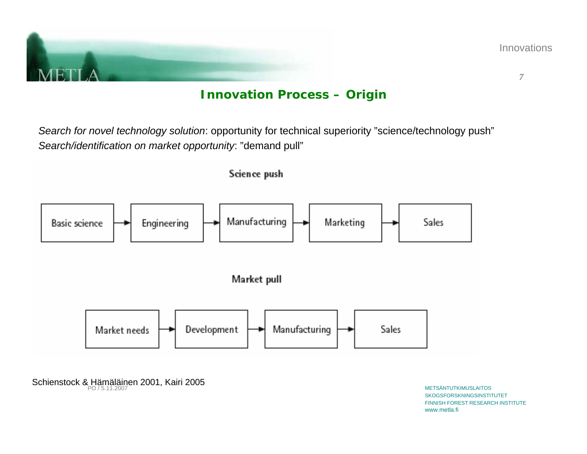

**Innovations** 

*7*

## **Innovation Process – Origin**

*Search for novel technology solution*: opportunity for technical superiority "science/technology push" *Search/identification on market opportunity*: "demand pull"

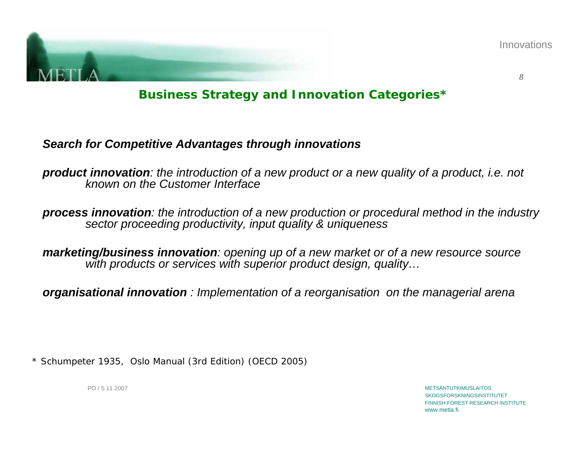

Innovations

*8*

**Business Strategy and Innovation Categories\***

## *Search for Competitive Advantages through innovations*

*product innovation: the introduction of a new product or a new quality of a product, i.e. not known on the Customer Interface* 

*process innovation: the introduction of a new production or procedural method in the industry sector proceeding productivity, input quality & uniqueness*

*marketing/business innovation: opening up of a new market or of a new resource source with products or services with superior product design, quality…*

*organisational innovation : Implementation of a reorganisation on the managerial arena*

\* Schumpeter 1935, Oslo Manual (3rd Edition) (OECD 2005)

PO / 5.11.2007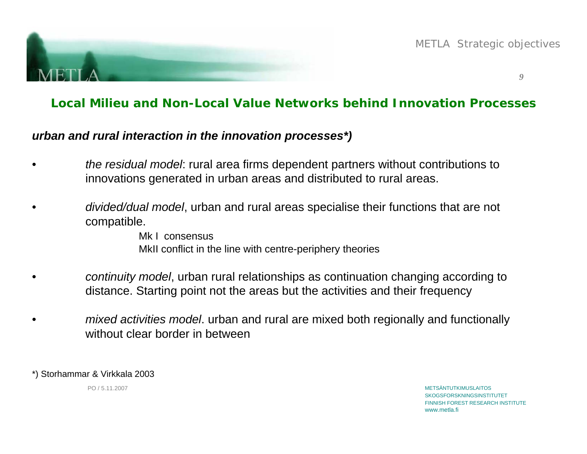

METLA Strategic objectives

*9*

## **Local Milieu and Non-Local Value Networks behind Innovation Processes**

### *urban and rural interaction in the innovation processes\*)*

- • *the residual model*: rural area firms dependent partners without contributions to innovations generated in urban areas and distributed to rural areas.
- • *divided/dual model*, urban and rural areas specialise their functions that are not compatible.

Mk I consensus MkII conflict in the line with centre-periphery theories

- • *continuity model*, urban rural relationships as continuation changing according to distance. Starting point not the areas but the activities and their frequency
- • *mixed activities model*. urban and rural are mixed both regionally and functionally without clear border in between

\*) Storhammar & Virkkala 2003

PO / 5.11.2007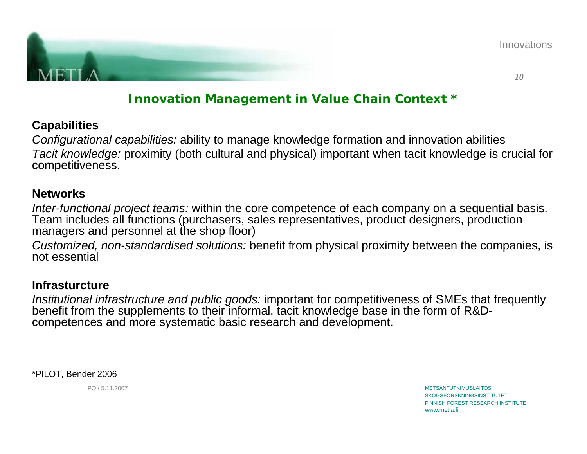

Innovations

*10*

## **Innovation Management in Value Chain Context \***

## **Capabilities**

*Configurational capabilities:* ability to manage knowledge formation and innovation abilities *Tacit knowledge:* proximity (both cultural and physical) important when tacit knowledge is crucial for competitiveness.

#### **Networks**

*Inter-functional project teams:* within the core competence of each company on a sequential basis. Team includes all functions (purchasers, sales representatives, product designers, production managers and personnel at the shop floor)

*Customized, non-standardised solutions:* benefit from physical proximity between the companies, is not essential

### **Infrasturcture**

*Institutional infrastructure and public goods:* important for competitiveness of SMEs that frequently benefit from the supplements to their informal, tacit knowledge base in the form of R&Dcompetences and more systematic basic research and development.

\*PILOT, Bender 2006

PO / 5.11.2007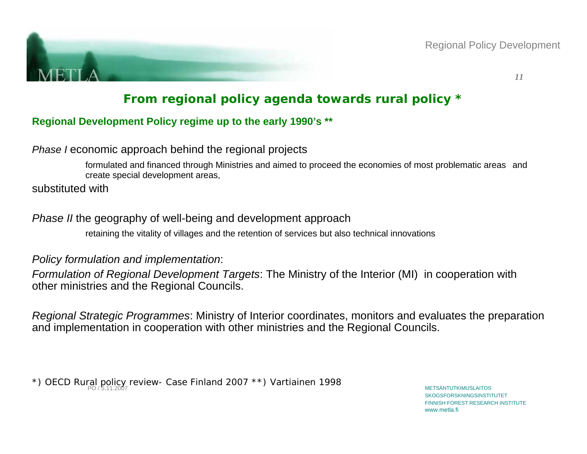

Regional Policy Development

*11*

# **From regional policy agenda towards rural policy \***

#### **Regional Development Policy regime up to the early 1990's \*\***

#### *Phase I* economic approach behind the regional projects

formulated and financed through Ministries and aimed to proceed the economies of most problematic areas and create special development areas,

substituted with

### *Phase II* the geography of well-being and development approach

retaining the vitality of villages and the retention of services but also technical innovations

#### *Policy formulation and implementation*:

*Formulation of Regional Development Targets*: The Ministry of the Interior (MI) in cooperation with other ministries and the Regional Councils.

*Regional Strategic Programmes*: Ministry of Interior coordinates, monitors and evaluates the preparation and implementation in cooperation with other ministries and the Regional Councils.

\*) OECD Rural policy review- Case Finland 2007 \*\*) Vartiainen 1998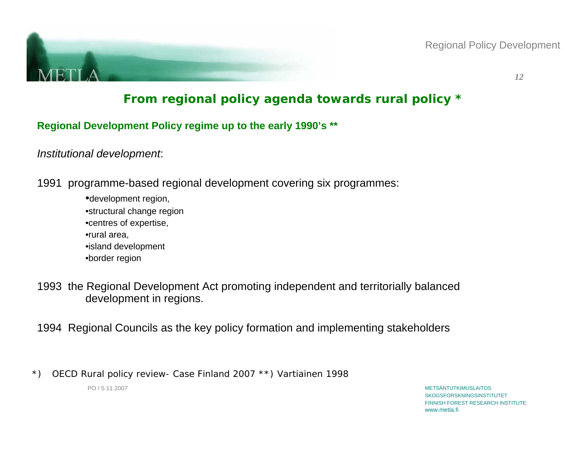

Regional Policy Development

*12*

# **From regional policy agenda towards rural policy \***

**Regional Development Policy regime up to the early 1990's \*\*** 

*Institutional development*:

1991 programme-based regional development covering six programmes:

•development region, •structural change region •centres of expertise, •rural area, •island development •border region

1993 the Regional Development Act promoting independent and territorially balanced development in regions.

1994 Regional Councils as the key policy formation and implementing stakeholders

\*) OECD Rural policy review- Case Finland 2007 \*\*) Vartiainen 1998

PO / 5.11.2007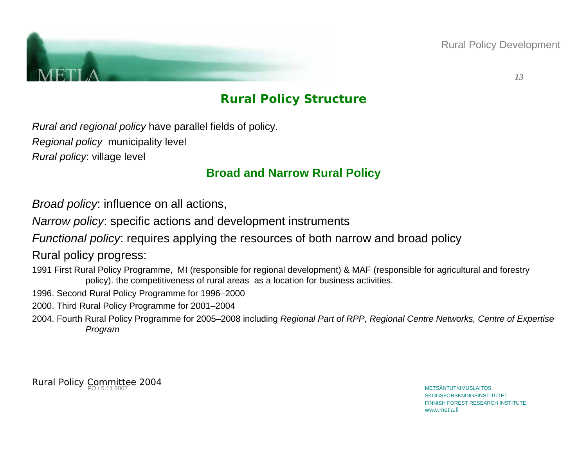

Rural Policy Development

*13*

## **Rural Policy Structure**

*Rural and regional policy* have parallel fields of policy. *Regional policy* municipality level *Rural policy*: village level

## **Broad and Narrow Rural Policy**

*Broad policy*: influence on all actions,

*Narrow policy*: specific actions and development instruments

*Functional policy*: requires applying the resources of both narrow and broad policy

Rural policy progress:

1991 First Rural Policy Programme, MI (responsible for regional development) & MAF (responsible for agricultural and forestry policy). the competitiveness of rural areas as a location for business activities.

- 1996. Second Rural Policy Programme for 1996–2000
- 2000. Third Rural Policy Programme for 2001–2004
- 2004. Fourth Rural Policy Programme for 2005–2008 including *Regional Part of RPP, Regional Centre Networks, Centre of Expertise Program*

Rural Policy Committee 2004<br>Rural Policy Po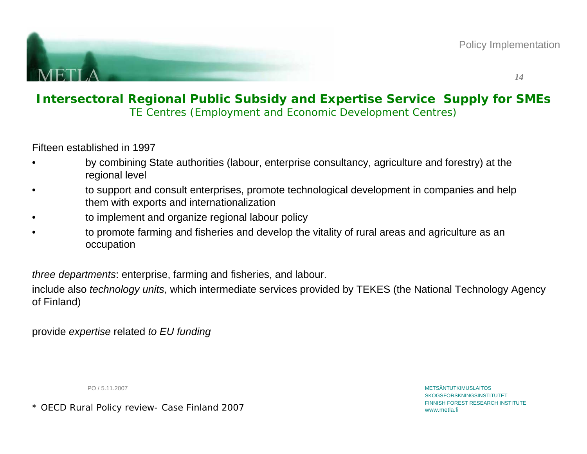

### **Intersectoral Regional Public Subsidy and Expertise Service Supply for SMEs** TE Centres (Employment and Economic Development Centres)

Fifteen established in 1997

- • by combining State authorities (labour, enterprise consultancy, agriculture and forestry) at the regional level
- • to support and consult enterprises, promote technological development in companies and help them with exports and internationalization
- •to implement and organize regional labour policy
- • to promote farming and fisheries and develop the vitality of rural areas and agriculture as an occupation

*three departments*: enterprise, farming and fisheries, and labour.

include also *technology units*, which intermediate services provided by TEKES (the National Technology Agency of Finland)

provide *expertise* related *to EU funding*

PO / 5.11.2007

\* OECD Rural Policy review- Case Finland 2007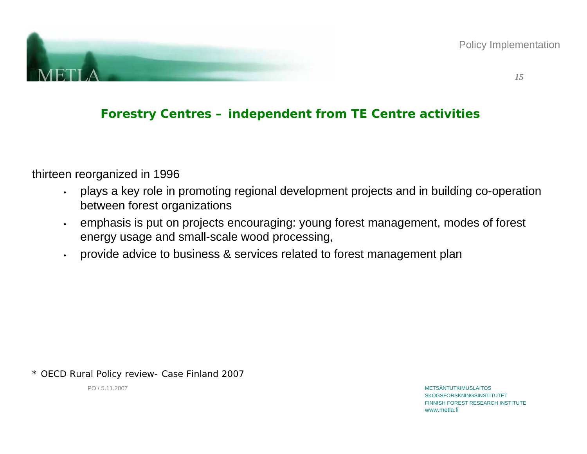

Policy Implementation

# **Forestry Centres – independent from TE Centre activities**

thirteen reorganized in 1996

- • plays a key role in promoting regional development projects and in building co-operation between forest organizations
- • emphasis is put on projects encouraging: young forest management, modes of forest energy usage and small-scale wood processing,
- •provide advice to business & services related to forest management plan

\* OECD Rural Policy review- Case Finland 2007

PO / 5.11.2007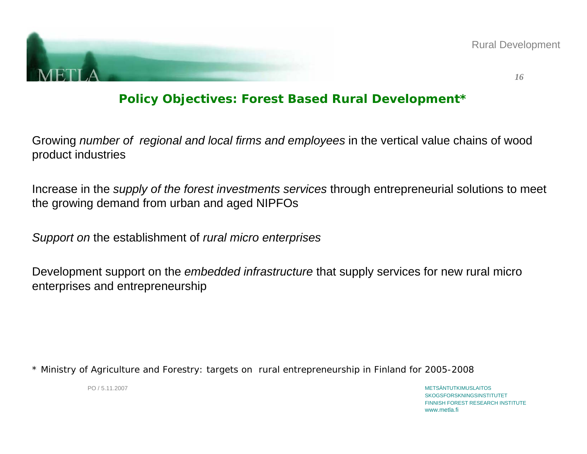

Rural Development

*16*

## **Policy Objectives: Forest Based Rural Development\***

Growing *number of regional and local firms and employees* in the vertical value chains of wood product industries

Increase in the *supply of the forest investments services* through entrepreneurial solutions to meet the growing demand from urban and aged NIPFOs

*Support on* the establishment of *rural micro enterprises*

Development support on the *embedded infrastructure* that supply services for new rural micro enterprises and entrepreneurship

\* Ministry of Agriculture and Forestry: targets on rural entrepreneurship in Finland for 2005-2008

PO / 5.11.2007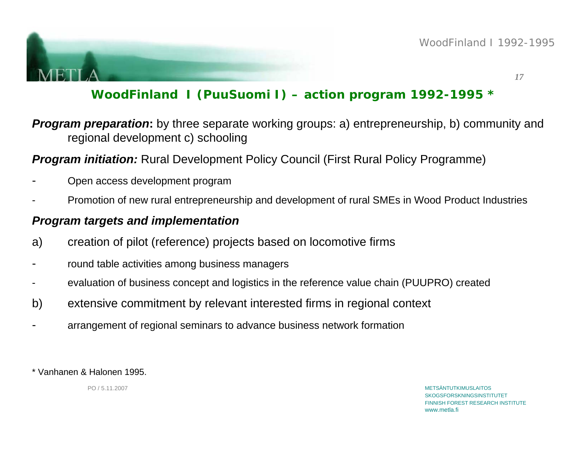

# **WoodFinland I (PuuSuomi I) – action program 1992-1995 \***

*Program preparation:* by three separate working groups: a) entrepreneurship, b) community and regional development c) schooling

## *Program initiation:* Rural Development Policy Council (First Rural Policy Programme)

- Open access development program
- -Promotion of new rural entrepreneurship and development of rural SMEs in Wood Product Industries

### *Program targets and implementation*

- a) creation of pilot (reference) projects based on locomotive firms
- round table activities among business managers
- evaluation of business concept and logistics in the reference value chain (PUUPRO) created
- b) extensive commitment by relevant interested firms in regional context
- arrangement of regional seminars to advance business network formation

\* Vanhanen & Halonen 1995.

PO / 5.11.2007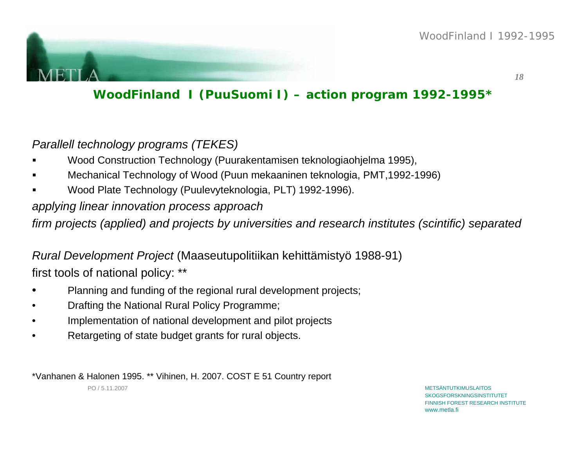

# **WoodFinland I (PuuSuomi I) – action program 1992-1995\***

## *Parallell technology programs (TEKES)*

- Wood Construction Technology (Puurakentamisen teknologiaohjelma 1995),
- Mechanical Technology of Wood (Puun mekaaninen teknologia, PMT,1992-1996)
- n Wood Plate Technology (Puulevyteknologia, PLT) 1992-1996).

## *applying linear innovation process approach*

*firm projects (applied) and projects by universities and research institutes (scintific) separated*

# *Rural Development Project* (Maaseutupolitiikan kehittämistyö 1988-91) first tools of national policy: \*\*

- •Planning and funding of the regional rural development projects;
- •Drafting the National Rural Policy Programme;
- •Implementation of national development and pilot projects
- •Retargeting of state budget grants for rural objects.

\*Vanhanen & Halonen 1995. \*\* Vihinen, H. 2007. COST E 51 Country report

PO / 5.11.2007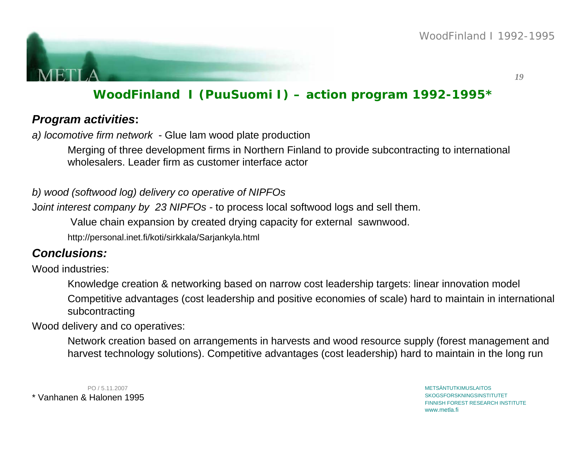

# **WoodFinland I (PuuSuomi I) – action program 1992-1995\***

### *Program activities***:**

*a) locomotive firm network* - Glue lam wood plate production

Merging of three development firms in Northern Finland to provide subcontracting to international wholesalers. Leader firm as customer interface actor

#### *b) wood (softwood log) delivery co operative of NIPFOs*

J*oint interest company by 23 NIPFOs -* to process local softwood logs and sell them.

Value chain expansion by created drying capacity for external sawnwood.

http://personal.inet.fi/koti/sirkkala/Sarjankyla.html

## *Conclusions:*

Wood industries:

Knowledge creation & networking based on narrow cost leadership targets: linear innovation model Competitive advantages (cost leadership and positive economies of scale) hard to maintain in international subcontracting

Wood delivery and co operatives:

Network creation based on arrangements in harvests and wood resource supply (forest management and harvest technology solutions). Competitive advantages (cost leadership) hard to maintain in the long run

PO / 5.11.2007\* Vanhanen & Halonen 1995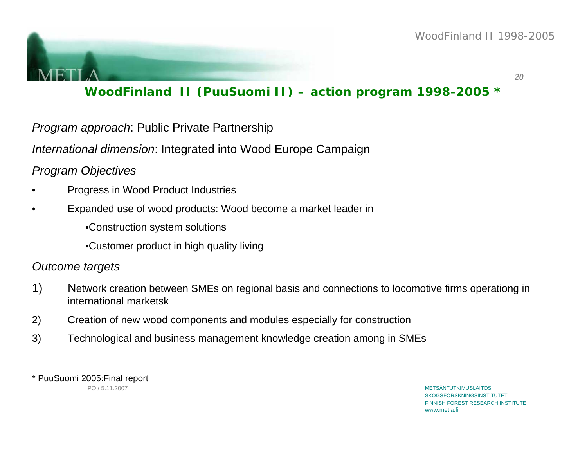

# **WoodFinland II (PuuSuomi II) – action program 1998-2005 \***

*Program approach*: Public Private Partnership

*International dimension*: Integrated into Wood Europe Campaign

#### *Program Objectives*

- •Progress in Wood Product Industries
- • Expanded use of wood products: Wood become a market leader in
	- •Construction system solutions
	- •Customer product in high quality living

#### *Outcome targets*

- 1) Network creation between SMEs on regional basis and connections to locomotive firms operationg in international marketsk
- 2) Creation of new wood components and modules especially for construction
- 3) Technological and business management knowledge creation among in SMEs

\* PuuSuomi 2005:Final report

PO / 5.11.2007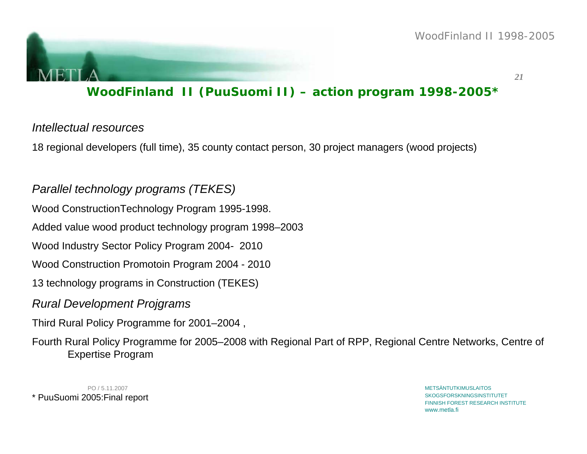

# **WoodFinland II (PuuSuomi II) – action program 1998-2005\***

#### *Intellectual resources*

18 regional developers (full time), 35 county contact person, 30 project managers (wood projects)

## *Parallel technology programs (TEKES)*

Wood ConstructionTechnology Program 1995-1998.

Added value wood product technology program 1998–2003

Wood Industry Sector Policy Program 2004- 2010

Wood Construction Promotoin Program 2004 - 2010

13 technology programs in Construction (TEKES)

#### *Rural Development Projgrams*

Third Rural Policy Programme for 2001–2004 ,

Fourth Rural Policy Programme for 2005–2008 with Regional Part of RPP, Regional Centre Networks, Centre of Expertise Program

PO / 5.11.2007\* PuuSuomi 2005:Final report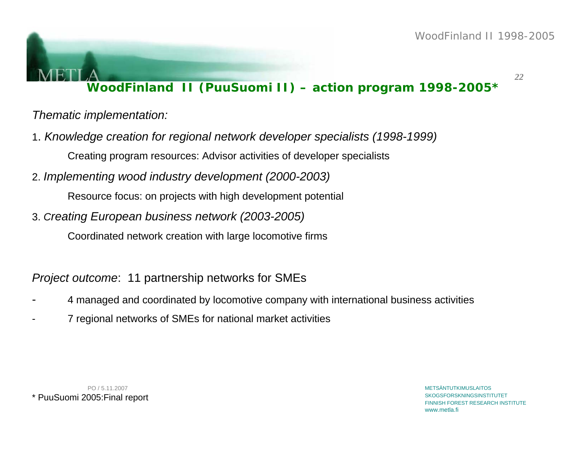# **WoodFinland II (PuuSuomi II) – action program 1998-2005\***

*Thematic implementation:*

1. *Knowledge creation for regional network developer specialists (1998-1999)*

Creating program resources: Advisor activities of developer specialists

2. *Implementing wood industry development (2000-2003)*

Resource focus: on projects with high development potential

3. *Creating European business network (2003-2005)*

Coordinated network creation with large locomotive firms

*Project outcome*: 11 partnership networks for SMEs

- 4 managed and coordinated by locomotive company with international business activities
- 7 regional networks of SMEs for national market activities

PO / 5.11.2007\* PuuSuomi 2005:Final report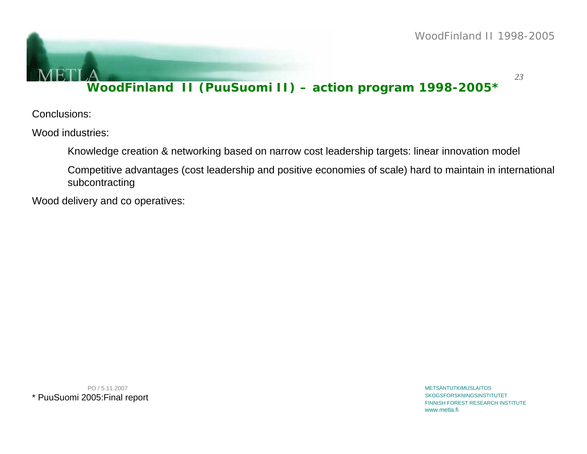# **WoodFinland II (PuuSuomi II) – action program 1998-2005\***

Conclusions:

Wood industries:

Knowledge creation & networking based on narrow cost leadership targets: linear innovation model

Competitive advantages (cost leadership and positive economies of scale) hard to maintain in international subcontracting

Wood delivery and co operatives:

PO / 5.11.2007\* PuuSuomi 2005:Final report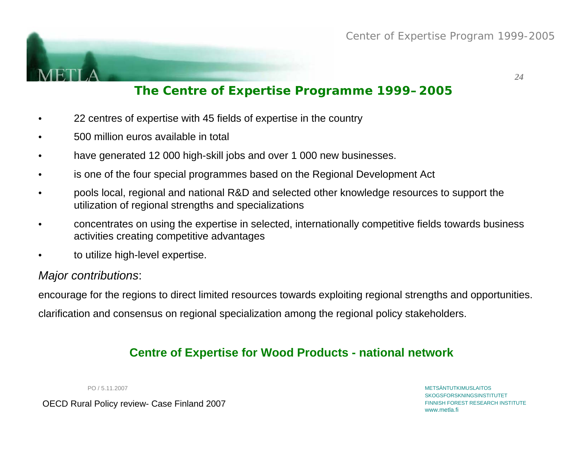

## **The Centre of Expertise Programme 1999–2005**

- •22 centres of expertise with 45 fields of expertise in the country
- •500 million euros available in total
- •have generated 12 000 high-skill jobs and over 1 000 new businesses.
- •is one of the four special programmes based on the Regional Development Act
- • pools local, regional and national R&D and selected other knowledge resources to support the utilization of regional strengths and specializations
- • concentrates on using the expertise in selected, internationally competitive fields towards business activities creating competitive advantages
- •to utilize high-level expertise.

### *Major contributions*:

encourage for the regions to direct limited resources towards exploiting regional strengths and opportunities. clarification and consensus on regional specialization among the regional policy stakeholders.

## **Centre of Expertise for Wood Products - national network**

PO / 5.11.2007

OECD Rural Policy review- Case Finland 2007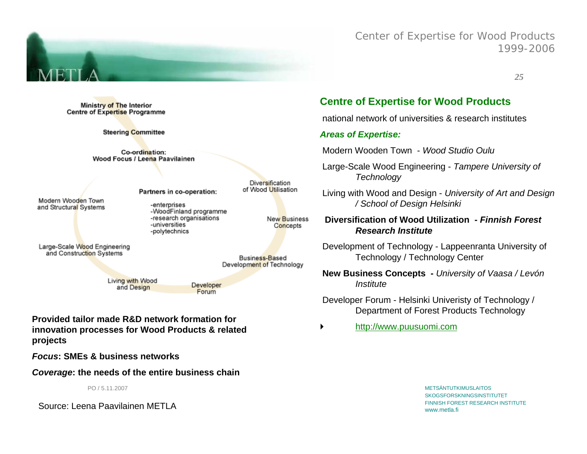

Ministry of The Interior **Centre of Expertise Programme** 

**Steering Committee** 

Co-ordination: Wood Focus / Leena Paavilainen

Modern Wooden Town and Structural Systems Partners in co-operation:

-enterprises -WoodFinland programme -research organisations -universities -polytechnics

New Business Concepts

Diversification of Wood Utilisation

Business-Based Development of Technology

Large-Scale Wood Engineering and Construction Systems

> Living with Wood and Design

Developer Forum

**Provided tailor made R&D network formation for innovation processes for Wood Products & related projects**

*Focus***: SMEs & business networks**

*Coverage***: the needs of the entire business chain** 

PO / 5.11.2007

Source: Leena Paavilainen METLA

#### **Centre of Expertise for Wood Products**

national network of universities & research institutes

Center of Expertise for Wood Products

*25*

1999-2006

#### *Areas of Expertise:*

Modern Wooden Town - *Wood Studio Oulu*

- Large-Scale Wood Engineering *Tampere University of Technology*
- Living with Wood and Design *University of Art and Design / School of Design Helsinki*

**Diversification of Wood Utilization -** *Finnish Forest Research Institute* 

Development of Technology - Lappeenranta University of Technology / Technology Center

**New Business Concepts -** *University of Vaasa / Levón Institute*

Developer Forum - Helsinki Univeristy of Technology / Department of Forest Products Technology

`http://www.puusuomi.com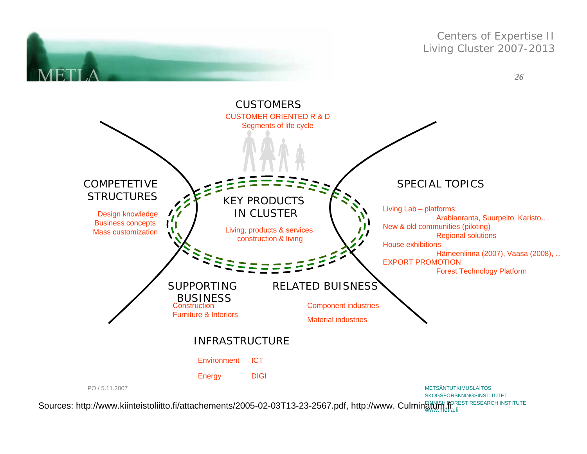

Sources: http://www.kiinteistoliitto.fi/attachements/2005-02-03T13-23-2567.pdf, http://www. Culminatumetla.fi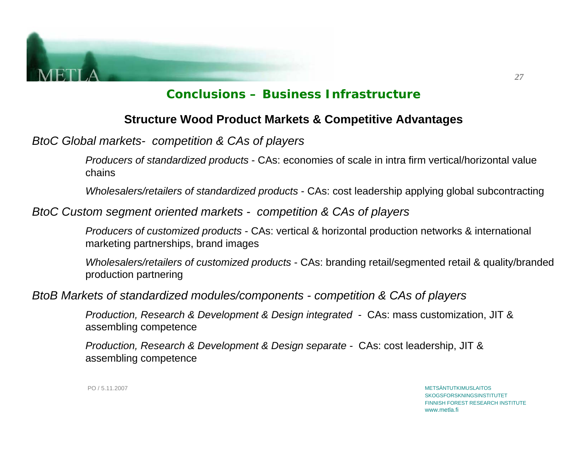

## **Conclusions – Business Infrastructure**

### **Structure Wood Product Markets & Competitive Advantages**

*BtoC Global markets- competition & CAs of players*

*Producers of standardized products* - CAs: economies of scale in intra firm vertical/horizontal value chains

*Wholesalers/retailers of standardized products* - CAs: cost leadership applying global subcontracting

*BtoC Custom segment oriented markets - competition & CAs of players*

*Producers of customized products* - CAs: vertical & horizontal production networks & international marketing partnerships, brand images

*Wholesalers/retailers of customized products* - CAs: branding retail/segmented retail & quality/branded production partnering

*BtoB Markets of standardized modules/components - competition & CAs of players*

*Production, Research & Development & Design integrated -* CAs: mass customization, JIT & assembling competence

*Production, Research & Development & Design separate -* CAs: cost leadership, JIT & assembling competence

> METSÄNTUTKIMUSLAITOSSKOGSFORSKNINGSINSTITUTET FINNISH FOREST RESEARCH INSTITUTEwww.metla.fi

PO / 5.11.2007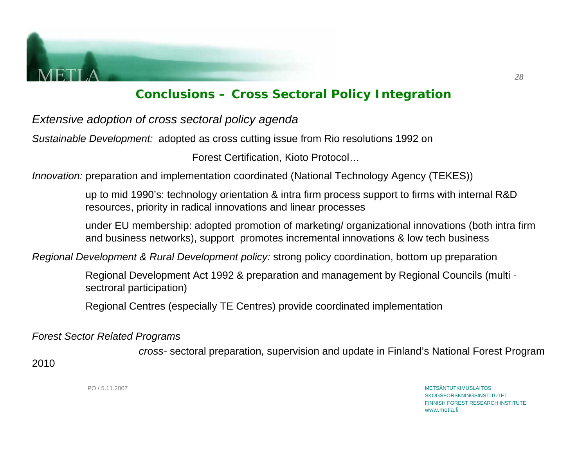

## **Conclusions – Cross Sectoral Policy Integration**

*Extensive adoption of cross sectoral policy agenda*

*Sustainable Development:* adopted as cross cutting issue from Rio resolutions 1992 on

Forest Certification, Kioto Protocol…

*Innovation:* preparation and implementation coordinated (National Technology Agency (TEKES))

up to mid 1990's: technology orientation & intra firm process support to firms with internal R&D resources, priority in radical innovations and linear processes

under EU membership: adopted promotion of marketing/ organizational innovations (both intra firm and business networks), support promotes incremental innovations & low tech business

*Regional Development & Rural Development policy:* strong policy coordination, bottom up preparation

Regional Development Act 1992 & preparation and management by Regional Councils (multi sectroral participation)

Regional Centres (especially TE Centres) provide coordinated implementation

*Forest Sector Related Programs*

*cross-* sectoral preparation, supervision and update in Finland's National Forest Program

2010

PO / 5.11.2007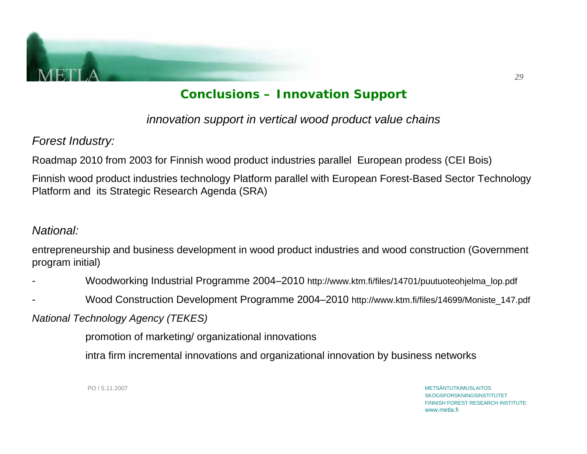

# **Conclusions – Innovation Support**

*innovation support in vertical wood product value chains*

*Forest Industry:*

Roadmap 2010 from 2003 for Finnish wood product industries parallel European prodess (CEI Bois)

Finnish wood product industries technology Platform parallel with European Forest-Based Sector Technology Platform and its Strategic Research Agenda (SRA)

## *National:*

entrepreneurship and business development in wood product industries and wood construction (Government program initial)

- Woodworking Industrial Programme 2004–2010 http://www.ktm.fi/files/14701/puutuoteohjelma\_lop.pdf
- Wood Construction Development Programme 2004–2010 http://www.ktm.fi/files/14699/Moniste\_147.pdf

*National Technology Agency (TEKES)*

promotion of marketing/ organizational innovations

intra firm incremental innovations and organizational innovation by business networks

PO / 5.11.2007